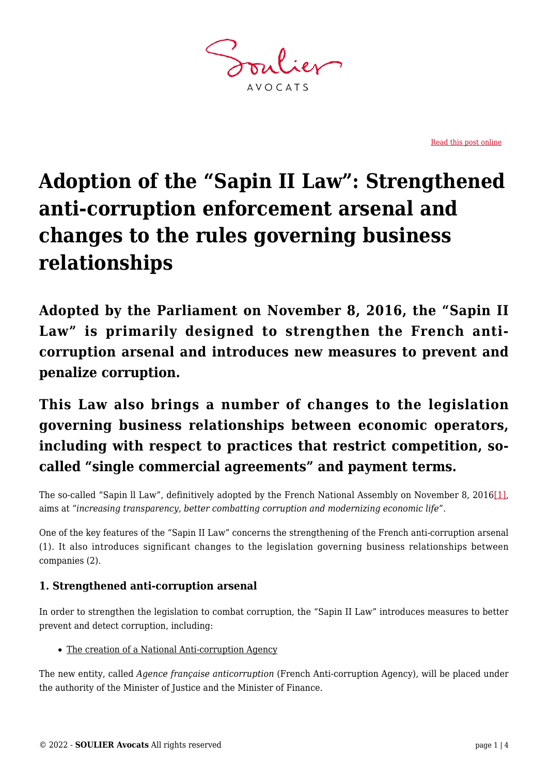**AVOCATS** 

[Read this post online](https://www.soulier-avocats.com/en/adoption-of-the-sapin-ii-law-strengthened-anti-corruption-enforcement-arsenal-and-changes-to-the-rules-governing-business-relationships/)

# **Adoption of the "Sapin II Law": Strengthened anti-corruption enforcement arsenal and changes to the rules governing business relationships**

**Adopted by the Parliament on November 8, 2016, the "Sapin II Law" is primarily designed to strengthen the French anticorruption arsenal and introduces new measures to prevent and penalize corruption.**

**This Law also brings a number of changes to the legislation governing business relationships between economic operators, including with respect to practices that restrict competition, socalled "single commercial agreements" and payment terms.**

<span id="page-0-0"></span>The so-called "Sapin ll Law", definitively adopted by the French National Assembly on November 8, 2016[\[1\],](#page-3-0) aims at "*increasing transparency, better combatting corruption and modernizing economic life*".

One of the key features of the "Sapin II Law" concerns the strengthening of the French anti-corruption arsenal (1). It also introduces significant changes to the legislation governing business relationships between companies (2).

## **1. Strengthened anti-corruption arsenal**

In order to strengthen the legislation to combat corruption, the "Sapin II Law" introduces measures to better prevent and detect corruption, including:

• The creation of a National Anti-corruption Agency

The new entity, called *Agence française anticorruption* (French Anti-corruption Agency), will be placed under the authority of the Minister of Justice and the Minister of Finance.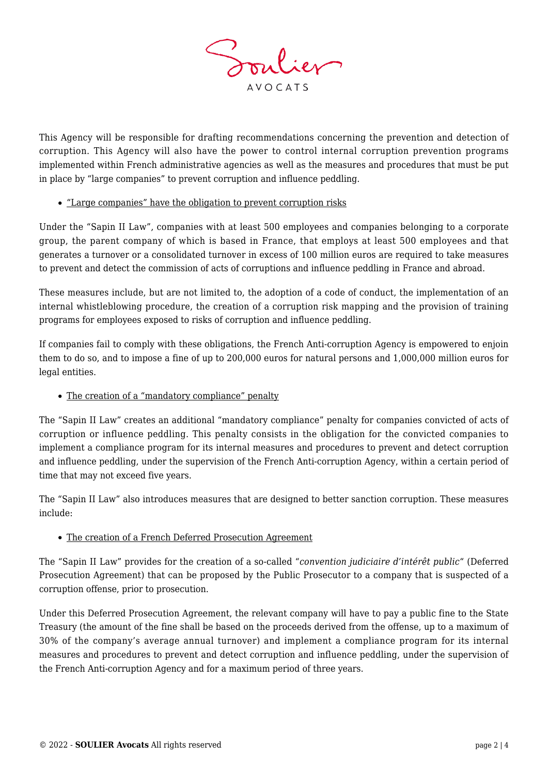

This Agency will be responsible for drafting recommendations concerning the prevention and detection of corruption. This Agency will also have the power to control internal corruption prevention programs implemented within French administrative agencies as well as the measures and procedures that must be put in place by "large companies" to prevent corruption and influence peddling.

#### "Large companies" have the obligation to prevent corruption risks

Under the "Sapin II Law", companies with at least 500 employees and companies belonging to a corporate group, the parent company of which is based in France, that employs at least 500 employees and that generates a turnover or a consolidated turnover in excess of 100 million euros are required to take measures to prevent and detect the commission of acts of corruptions and influence peddling in France and abroad.

These measures include, but are not limited to, the adoption of a code of conduct, the implementation of an internal whistleblowing procedure, the creation of a corruption risk mapping and the provision of training programs for employees exposed to risks of corruption and influence peddling.

If companies fail to comply with these obligations, the French Anti-corruption Agency is empowered to enjoin them to do so, and to impose a fine of up to 200,000 euros for natural persons and 1,000,000 million euros for legal entities.

#### • The creation of a "mandatory compliance" penalty

The "Sapin II Law" creates an additional "mandatory compliance" penalty for companies convicted of acts of corruption or influence peddling. This penalty consists in the obligation for the convicted companies to implement a compliance program for its internal measures and procedures to prevent and detect corruption and influence peddling, under the supervision of the French Anti-corruption Agency, within a certain period of time that may not exceed five years.

The "Sapin II Law" also introduces measures that are designed to better sanction corruption. These measures include:

#### The creation of a French Deferred Prosecution Agreement

The "Sapin II Law" provides for the creation of a so-called "*convention judiciaire d'intérêt public*" (Deferred Prosecution Agreement) that can be proposed by the Public Prosecutor to a company that is suspected of a corruption offense, prior to prosecution.

Under this Deferred Prosecution Agreement, the relevant company will have to pay a public fine to the State Treasury (the amount of the fine shall be based on the proceeds derived from the offense, up to a maximum of 30% of the company's average annual turnover) and implement a compliance program for its internal measures and procedures to prevent and detect corruption and influence peddling, under the supervision of the French Anti-corruption Agency and for a maximum period of three years.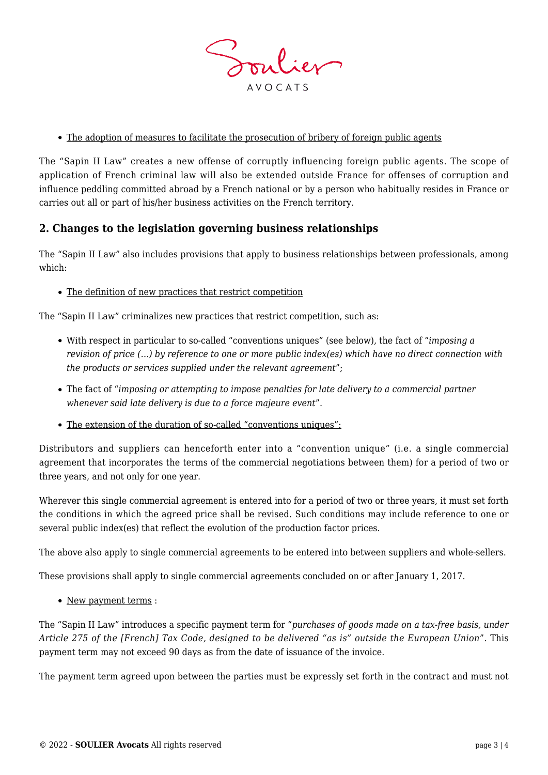

#### The adoption of measures to facilitate the prosecution of bribery of foreign public agents

The "Sapin II Law" creates a new offense of corruptly influencing foreign public agents. The scope of application of French criminal law will also be extended outside France for offenses of corruption and influence peddling committed abroad by a French national or by a person who habitually resides in France or carries out all or part of his/her business activities on the French territory.

### **2. Changes to the legislation governing business relationships**

The "Sapin II Law" also includes provisions that apply to business relationships between professionals, among which:

#### The definition of new practices that restrict competition

The "Sapin II Law" criminalizes new practices that restrict competition, such as:

- With respect in particular to so-called "conventions uniques" (see below), the fact of "*imposing a revision of price (…) by reference to one or more public index(es) which have no direct connection with the products or services supplied under the relevant agreement*";
- The fact of "*imposing or attempting to impose penalties for late delivery to a commercial partner whenever said late delivery is due to a force majeure event*".
- The extension of the duration of so-called "conventions uniques":

Distributors and suppliers can henceforth enter into a "convention unique" (i.e. a single commercial agreement that incorporates the terms of the commercial negotiations between them) for a period of two or three years, and not only for one year.

Wherever this single commercial agreement is entered into for a period of two or three years, it must set forth the conditions in which the agreed price shall be revised. Such conditions may include reference to one or several public index(es) that reflect the evolution of the production factor prices.

The above also apply to single commercial agreements to be entered into between suppliers and whole-sellers.

These provisions shall apply to single commercial agreements concluded on or after January 1, 2017.

• New payment terms :

The "Sapin II Law" introduces a specific payment term for "*purchases of goods made on a tax-free basis, under Article 275 of the [French] Tax Code, designed to be delivered "as is" outside the European Union*". This payment term may not exceed 90 days as from the date of issuance of the invoice.

The payment term agreed upon between the parties must be expressly set forth in the contract and must not